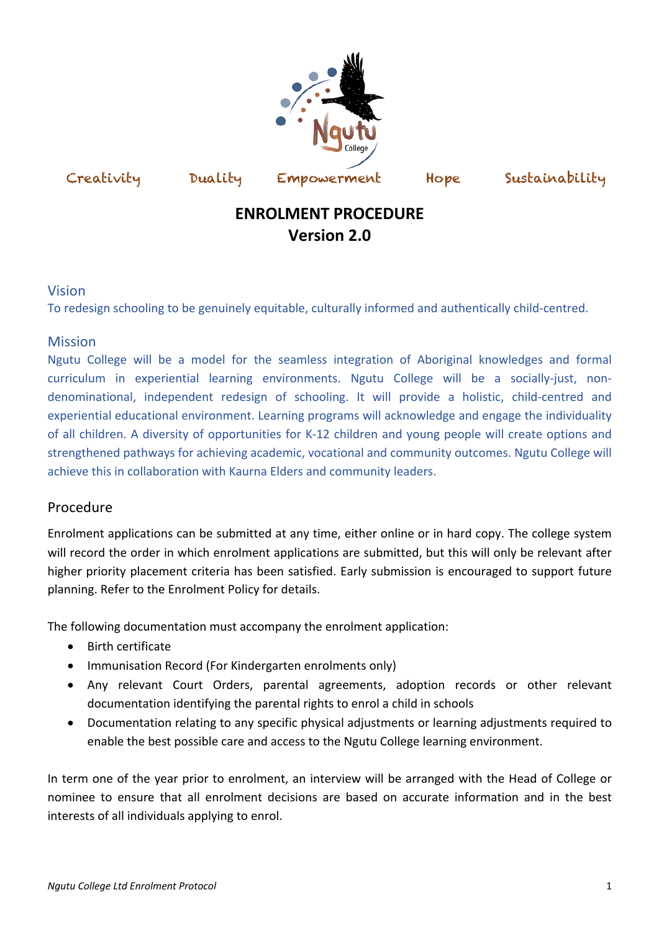

Creativity Duality Empowerment Hope Sustainability

# **ENROLMENT PROCEDURE Version 2.0**

### Vision

To redesign schooling to be genuinely equitable, culturally informed and authentically child-centred.

### Mission

Ngutu College will be a model for the seamless integration of Aboriginal knowledges and formal curriculum in experiential learning environments. Ngutu College will be a socially-just, nondenominational, independent redesign of schooling. It will provide a holistic, child-centred and experiential educational environment. Learning programs will acknowledge and engage the individuality of all children. A diversity of opportunities for K-12 children and young people will create options and strengthened pathways for achieving academic, vocational and community outcomes. Ngutu College will achieve this in collaboration with Kaurna Elders and community leaders.

## Procedure

Enrolment applications can be submitted at any time, either online or in hard copy. The college system will record the order in which enrolment applications are submitted, but this will only be relevant after higher priority placement criteria has been satisfied. Early submission is encouraged to support future planning. Refer to the Enrolment Policy for details.

The following documentation must accompany the enrolment application:

- Birth certificate
- Immunisation Record (For Kindergarten enrolments only)
- Any relevant Court Orders, parental agreements, adoption records or other relevant documentation identifying the parental rights to enrol a child in schools
- Documentation relating to any specific physical adjustments or learning adjustments required to enable the best possible care and access to the Ngutu College learning environment.

In term one of the year prior to enrolment, an interview will be arranged with the Head of College or nominee to ensure that all enrolment decisions are based on accurate information and in the best interests of all individuals applying to enrol.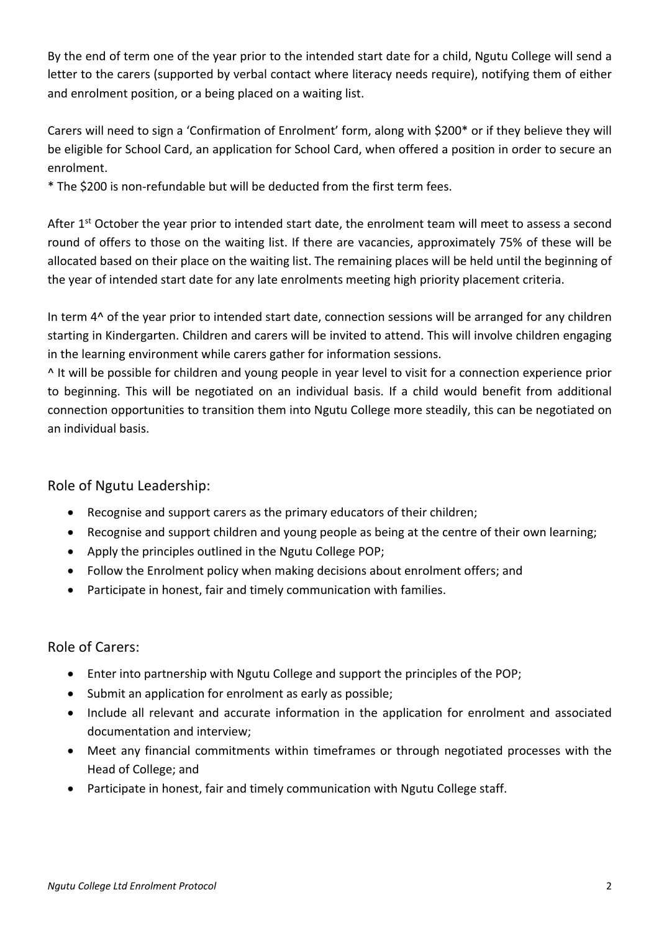By the end of term one of the year prior to the intended start date for a child, Ngutu College will send a letter to the carers (supported by verbal contact where literacy needs require), notifying them of either and enrolment position, or a being placed on a waiting list.

Carers will need to sign a 'Confirmation of Enrolment' form, along with \$200\* or if they believe they will be eligible for School Card, an application for School Card, when offered a position in order to secure an enrolment.

\* The \$200 is non-refundable but will be deducted from the first term fees.

After 1<sup>st</sup> October the year prior to intended start date, the enrolment team will meet to assess a second round of offers to those on the waiting list. If there are vacancies, approximately 75% of these will be allocated based on their place on the waiting list. The remaining places will be held until the beginning of the year of intended start date for any late enrolments meeting high priority placement criteria.

In term 4^ of the year prior to intended start date, connection sessions will be arranged for any children starting in Kindergarten. Children and carers will be invited to attend. This will involve children engaging in the learning environment while carers gather for information sessions.

^ It will be possible for children and young people in year level to visit for a connection experience prior to beginning. This will be negotiated on an individual basis. If a child would benefit from additional connection opportunities to transition them into Ngutu College more steadily, this can be negotiated on an individual basis.

### Role of Ngutu Leadership:

- Recognise and support carers as the primary educators of their children;
- Recognise and support children and young people as being at the centre of their own learning;
- Apply the principles outlined in the Ngutu College POP;
- Follow the Enrolment policy when making decisions about enrolment offers; and
- Participate in honest, fair and timely communication with families.

Role of Carers:

- Enter into partnership with Ngutu College and support the principles of the POP;
- Submit an application for enrolment as early as possible;
- Include all relevant and accurate information in the application for enrolment and associated documentation and interview;
- Meet any financial commitments within timeframes or through negotiated processes with the Head of College; and
- Participate in honest, fair and timely communication with Ngutu College staff.